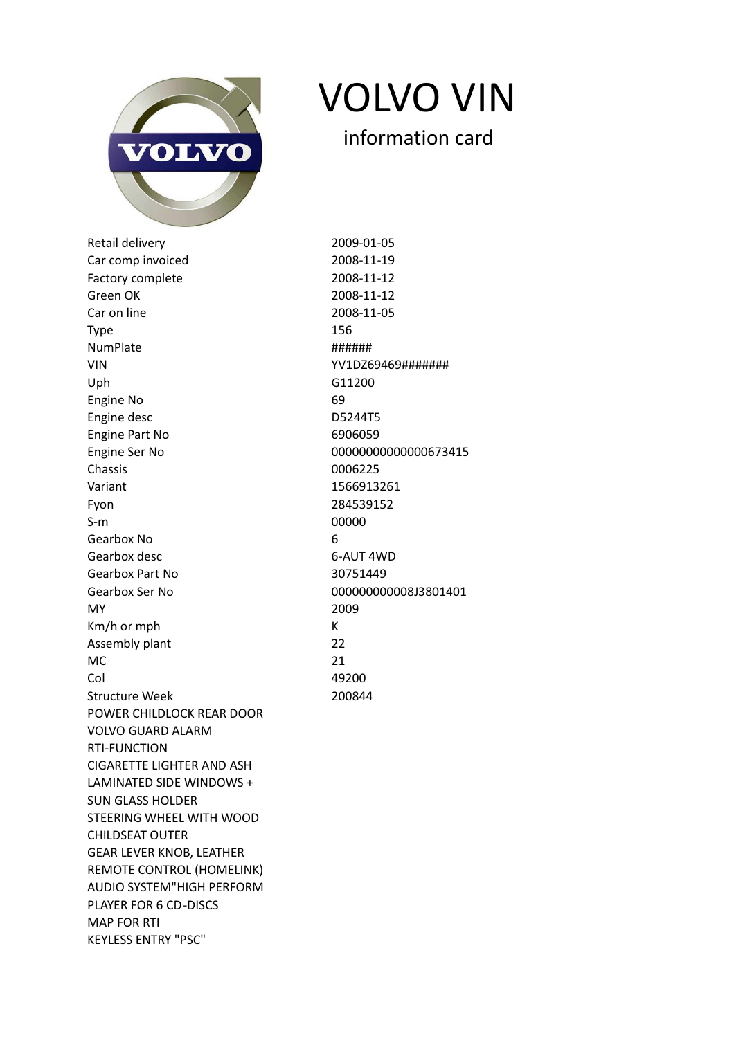

VOLVO VIN

Retail delivery 2009-01-05 Car comp invoiced 2008-11-19 Factory complete 2008-11-12 Green OK 2008-11-12 Car on line 2008-11-05  $\mathsf{Type} \hspace{2.5cm} 156$ NumPlate ###### VIN YV1DZ69469####### Uph G11200 Engine No 69 Engine desc D5244T5 Engine Part No 6906059 Engine Ser No 00000000000000673415 Chassis 0006225 Variant 1566913261 Fyon 284539152 S-m 00000 Gearbox No 6 Gearbox desc 6-AUT 4WD Gearbox Part No 30751449 Gearbox Ser No 00000000000000000000000000013801401 MY 2009 Km/h or mph K Assembly plant 22  $MC$  21 Col 49200 Structure Week 200844 POWER CHILDLOCK REAR DOOR VOLVO GUARD ALARM RTI-FUNCTION CIGARETTE LIGHTER AND ASH LAMINATED SIDE WINDOWS + SUN GLASS HOLDER STEERING WHEEL WITH WOOD CHILDSEAT OUTER GEAR LEVER KNOB, LEATHER REMOTE CONTROL (HOMELINK) AUDIO SYSTEM"HIGH PERFORM PLAYER FOR 6 CD-DISCS MAP FOR RTI KEYLESS ENTRY "PSC"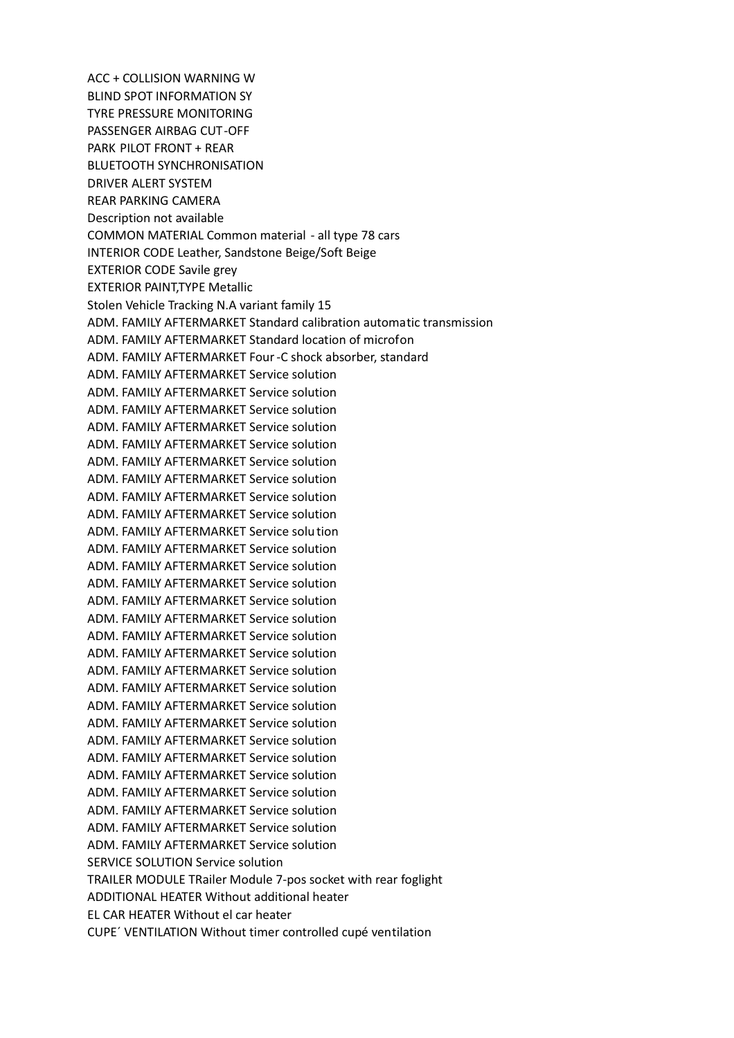ACC + COLLISION WARNING W BLIND SPOT INFORMATION SY TYRE PRESSURE MONITORING PASSENGER AIRBAG CUT-OFF PARK PILOT FRONT + REAR BLUETOOTH SYNCHRONISATION DRIVER ALERT SYSTEM REAR PARKING CAMERA Description not available COMMON MATERIAL Common material - all type 78 cars INTERIOR CODE Leather, Sandstone Beige/Soft Beige EXTERIOR CODE Savile grey EXTERIOR PAINT,TYPE Metallic Stolen Vehicle Tracking N.A variant family 15 ADM. FAMILY AFTERMARKET Standard calibration automatic transmission ADM. FAMILY AFTERMARKET Standard location of microfon ADM. FAMILY AFTERMARKET Four-C shock absorber, standard ADM. FAMILY AFTERMARKET Service solution ADM. FAMILY AFTERMARKET Service solution ADM. FAMILY AFTERMARKET Service solution ADM. FAMILY AFTERMARKET Service solution ADM. FAMILY AFTERMARKET Service solution ADM. FAMILY AFTERMARKET Service solution ADM. FAMILY AFTERMARKET Service solution ADM. FAMILY AFTERMARKET Service solution ADM. FAMILY AFTERMARKET Service solution ADM. FAMILY AFTERMARKET Service solution ADM. FAMILY AFTERMARKET Service solution ADM. FAMILY AFTERMARKET Service solution ADM. FAMILY AFTERMARKET Service solution ADM. FAMILY AFTERMARKET Service solution ADM. FAMILY AFTERMARKET Service solution ADM. FAMILY AFTERMARKET Service solution ADM. FAMILY AFTERMARKET Service solution ADM. FAMILY AFTERMARKET Service solution ADM. FAMILY AFTERMARKET Service solution ADM. FAMILY AFTERMARKET Service solution ADM. FAMILY AFTERMARKET Service solution ADM. FAMILY AFTERMARKET Service solution ADM. FAMILY AFTERMARKET Service solution ADM. FAMILY AFTERMARKET Service solution ADM. FAMILY AFTERMARKET Service solution ADM. FAMILY AFTERMARKET Service solution ADM. FAMILY AFTERMARKET Service solution ADM. FAMILY AFTERMARKET Service solution SERVICE SOLUTION Service solution TRAILER MODULE TRailer Module 7-pos socket with rear foglight ADDITIONAL HEATER Without additional heater EL CAR HEATER Without el car heater CUPE´ VENTILATION Without timer controlled cupé ventilation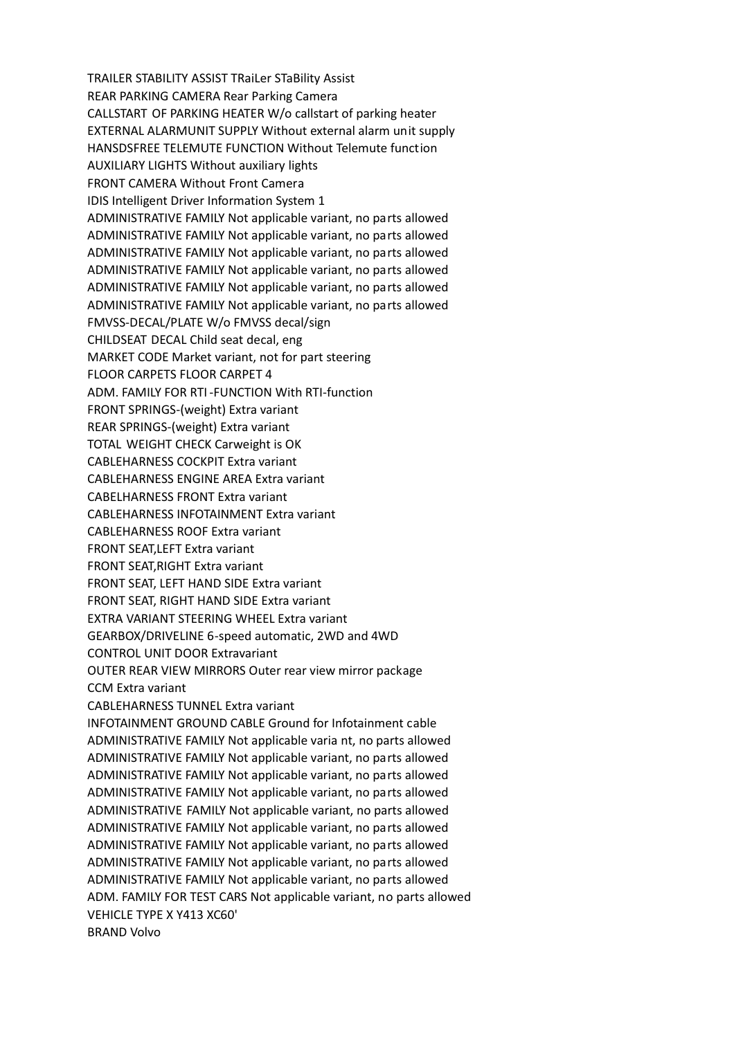TRAILER STABILITY ASSIST TRaiLer STaBility Assist REAR PARKING CAMERA Rear Parking Camera CALLSTART OF PARKING HEATER W/o callstart of parking heater EXTERNAL ALARMUNIT SUPPLY Without external alarm unit supply HANSDSFREE TELEMUTE FUNCTION Without Telemute function AUXILIARY LIGHTS Without auxiliary lights FRONT CAMERA Without Front Camera IDIS Intelligent Driver Information System 1 ADMINISTRATIVE FAMILY Not applicable variant, no parts allowed ADMINISTRATIVE FAMILY Not applicable variant, no parts allowed ADMINISTRATIVE FAMILY Not applicable variant, no parts allowed ADMINISTRATIVE FAMILY Not applicable variant, no parts allowed ADMINISTRATIVE FAMILY Not applicable variant, no parts allowed ADMINISTRATIVE FAMILY Not applicable variant, no parts allowed FMVSS-DECAL/PLATE W/o FMVSS decal/sign CHILDSEAT DECAL Child seat decal, eng MARKET CODE Market variant, not for part steering FLOOR CARPETS FLOOR CARPET 4 ADM. FAMILY FOR RTI -FUNCTION With RTI-function FRONT SPRINGS-(weight) Extra variant REAR SPRINGS-(weight) Extra variant TOTAL WEIGHT CHECK Carweight is OK CABLEHARNESS COCKPIT Extra variant CABLEHARNESS ENGINE AREA Extra variant CABELHARNESS FRONT Extra variant CABLEHARNESS INFOTAINMENT Extra variant CABLEHARNESS ROOF Extra variant FRONT SEAT,LEFT Extra variant FRONT SEAT,RIGHT Extra variant FRONT SEAT, LEFT HAND SIDE Extra variant FRONT SEAT, RIGHT HAND SIDE Extra variant EXTRA VARIANT STEERING WHEEL Extra variant GEARBOX/DRIVELINE 6-speed automatic, 2WD and 4WD CONTROL UNIT DOOR Extravariant OUTER REAR VIEW MIRRORS Outer rear view mirror package CCM Extra variant CABLEHARNESS TUNNEL Extra variant INFOTAINMENT GROUND CABLE Ground for Infotainment cable ADMINISTRATIVE FAMILY Not applicable varia nt, no parts allowed ADMINISTRATIVE FAMILY Not applicable variant, no parts allowed ADMINISTRATIVE FAMILY Not applicable variant, no parts allowed ADMINISTRATIVE FAMILY Not applicable variant, no parts allowed ADMINISTRATIVE FAMILY Not applicable variant, no parts allowed ADMINISTRATIVE FAMILY Not applicable variant, no parts allowed ADMINISTRATIVE FAMILY Not applicable variant, no parts allowed ADMINISTRATIVE FAMILY Not applicable variant, no parts allowed ADMINISTRATIVE FAMILY Not applicable variant, no parts allowed ADM. FAMILY FOR TEST CARS Not applicable variant, no parts allowed VEHICLE TYPE X Y413 XC60' BRAND Volvo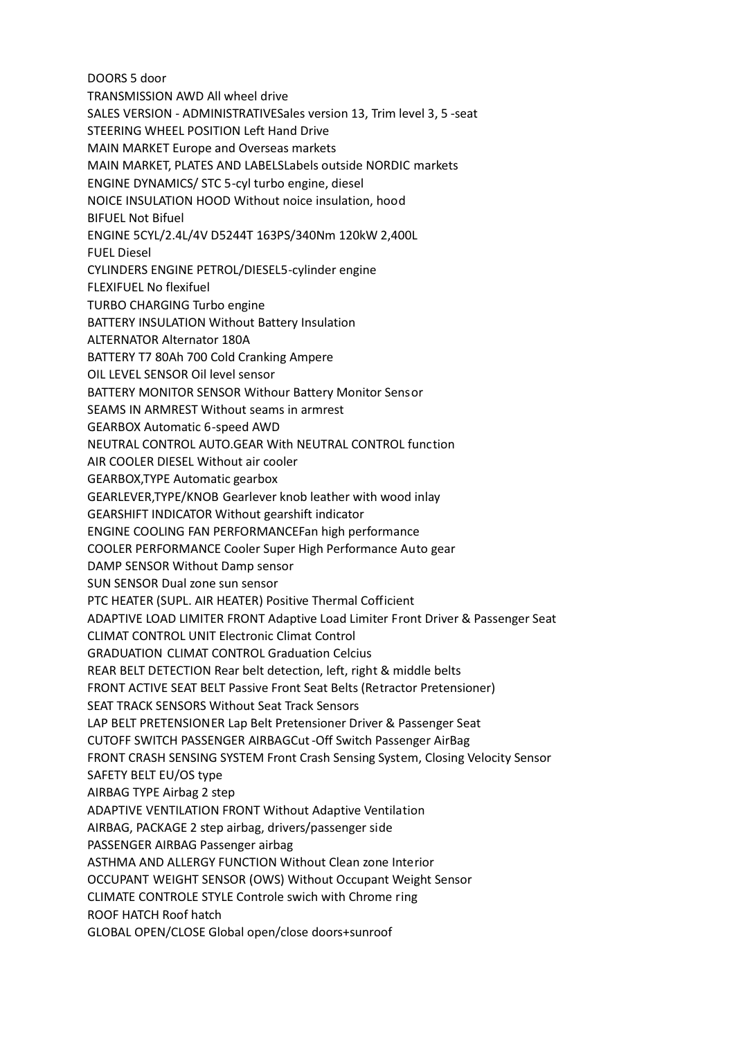DOORS 5 door TRANSMISSION AWD All wheel drive SALES VERSION - ADMINISTRATIVESales version 13, Trim level 3, 5 -seat STEERING WHEEL POSITION Left Hand Drive MAIN MARKET Europe and Overseas markets MAIN MARKET, PLATES AND LABELSLabels outside NORDIC markets ENGINE DYNAMICS/ STC 5-cyl turbo engine, diesel NOICE INSULATION HOOD Without noice insulation, hood BIFUEL Not Bifuel ENGINE 5CYL/2.4L/4V D5244T 163PS/340Nm 120kW 2,400L FUEL Diesel CYLINDERS ENGINE PETROL/DIESEL5-cylinder engine FLEXIFUEL No flexifuel TURBO CHARGING Turbo engine BATTERY INSULATION Without Battery Insulation ALTERNATOR Alternator 180A BATTERY T7 80Ah 700 Cold Cranking Ampere OIL LEVEL SENSOR Oil level sensor BATTERY MONITOR SENSOR Withour Battery Monitor Sensor SEAMS IN ARMREST Without seams in armrest GEARBOX Automatic 6-speed AWD NEUTRAL CONTROL AUTO.GEAR With NEUTRAL CONTROL function AIR COOLER DIESEL Without air cooler GEARBOX,TYPE Automatic gearbox GEARLEVER,TYPE/KNOB Gearlever knob leather with wood inlay GEARSHIFT INDICATOR Without gearshift indicator ENGINE COOLING FAN PERFORMANCEFan high performance COOLER PERFORMANCE Cooler Super High Performance Auto gear DAMP SENSOR Without Damp sensor SUN SENSOR Dual zone sun sensor PTC HEATER (SUPL. AIR HEATER) Positive Thermal Cofficient ADAPTIVE LOAD LIMITER FRONT Adaptive Load Limiter Front Driver & Passenger Seat CLIMAT CONTROL UNIT Electronic Climat Control GRADUATION CLIMAT CONTROL Graduation Celcius REAR BELT DETECTION Rear belt detection, left, right & middle belts FRONT ACTIVE SEAT BELT Passive Front Seat Belts (Retractor Pretensioner) SEAT TRACK SENSORS Without Seat Track Sensors LAP BELT PRETENSIONER Lap Belt Pretensioner Driver & Passenger Seat CUTOFF SWITCH PASSENGER AIRBAGCut-Off Switch Passenger AirBag FRONT CRASH SENSING SYSTEM Front Crash Sensing System, Closing Velocity Sensor SAFETY BELT EU/OS type AIRBAG TYPE Airbag 2 step ADAPTIVE VENTILATION FRONT Without Adaptive Ventilation AIRBAG, PACKAGE 2 step airbag, drivers/passenger side PASSENGER AIRBAG Passenger airbag ASTHMA AND ALLERGY FUNCTION Without Clean zone Interior OCCUPANT WEIGHT SENSOR (OWS) Without Occupant Weight Sensor CLIMATE CONTROLE STYLE Controle swich with Chrome ring ROOF HATCH Roof hatch GLOBAL OPEN/CLOSE Global open/close doors+sunroof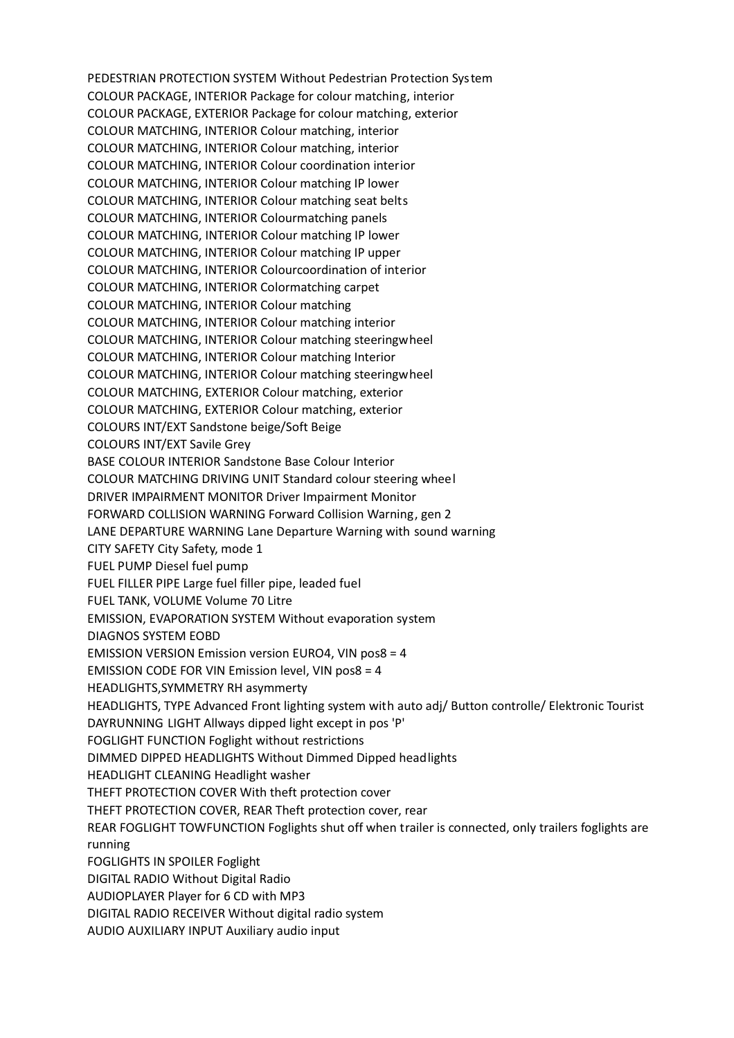PEDESTRIAN PROTECTION SYSTEM Without Pedestrian Protection System COLOUR PACKAGE, INTERIOR Package for colour matching, interior COLOUR PACKAGE, EXTERIOR Package for colour matching, exterior COLOUR MATCHING, INTERIOR Colour matching, interior COLOUR MATCHING, INTERIOR Colour matching, interior COLOUR MATCHING, INTERIOR Colour coordination interior COLOUR MATCHING, INTERIOR Colour matching IP lower COLOUR MATCHING, INTERIOR Colour matching seat belts COLOUR MATCHING, INTERIOR Colourmatching panels COLOUR MATCHING, INTERIOR Colour matching IP lower COLOUR MATCHING, INTERIOR Colour matching IP upper COLOUR MATCHING, INTERIOR Colourcoordination of interior COLOUR MATCHING, INTERIOR Colormatching carpet COLOUR MATCHING, INTERIOR Colour matching COLOUR MATCHING, INTERIOR Colour matching interior COLOUR MATCHING, INTERIOR Colour matching steeringwheel COLOUR MATCHING, INTERIOR Colour matching Interior COLOUR MATCHING, INTERIOR Colour matching steeringwheel COLOUR MATCHING, EXTERIOR Colour matching, exterior COLOUR MATCHING, EXTERIOR Colour matching, exterior COLOURS INT/EXT Sandstone beige/Soft Beige COLOURS INT/EXT Savile Grey BASE COLOUR INTERIOR Sandstone Base Colour Interior COLOUR MATCHING DRIVING UNIT Standard colour steering wheel DRIVER IMPAIRMENT MONITOR Driver Impairment Monitor FORWARD COLLISION WARNING Forward Collision Warning, gen 2 LANE DEPARTURE WARNING Lane Departure Warning with sound warning CITY SAFETY City Safety, mode 1 FUEL PUMP Diesel fuel pump FUEL FILLER PIPE Large fuel filler pipe, leaded fuel FUEL TANK, VOLUME Volume 70 Litre EMISSION, EVAPORATION SYSTEM Without evaporation system DIAGNOS SYSTEM EOBD EMISSION VERSION Emission version EURO4, VIN pos8 = 4 EMISSION CODE FOR VIN Emission level, VIN pos8 = 4 HEADLIGHTS,SYMMETRY RH asymmerty HEADLIGHTS, TYPE Advanced Front lighting system with auto adj/ Button controlle/ Elektronic Tourist DAYRUNNING LIGHT Allways dipped light except in pos 'P' FOGLIGHT FUNCTION Foglight without restrictions DIMMED DIPPED HEADLIGHTS Without Dimmed Dipped headlights HEADLIGHT CLEANING Headlight washer THEFT PROTECTION COVER With theft protection cover THEFT PROTECTION COVER, REAR Theft protection cover, rear REAR FOGLIGHT TOWFUNCTION Foglights shut off when trailer is connected, only trailers foglights are running FOGLIGHTS IN SPOILER Foglight DIGITAL RADIO Without Digital Radio AUDIOPLAYER Player for 6 CD with MP3 DIGITAL RADIO RECEIVER Without digital radio system AUDIO AUXILIARY INPUT Auxiliary audio input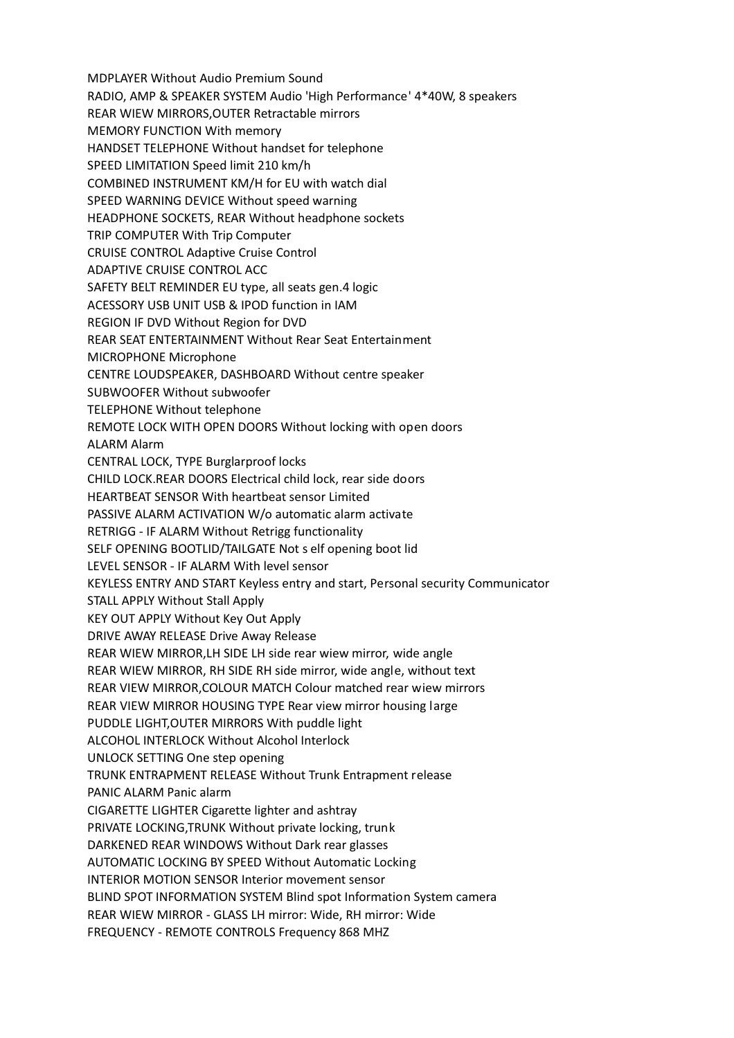MDPLAYER Without Audio Premium Sound RADIO, AMP & SPEAKER SYSTEM Audio 'High Performance' 4\*40W, 8 speakers REAR WIEW MIRRORS,OUTER Retractable mirrors MEMORY FUNCTION With memory HANDSET TELEPHONE Without handset for telephone SPEED LIMITATION Speed limit 210 km/h COMBINED INSTRUMENT KM/H for EU with watch dial SPEED WARNING DEVICE Without speed warning HEADPHONE SOCKETS, REAR Without headphone sockets TRIP COMPUTER With Trip Computer CRUISE CONTROL Adaptive Cruise Control ADAPTIVE CRUISE CONTROL ACC SAFETY BELT REMINDER EU type, all seats gen.4 logic ACESSORY USB UNIT USB & IPOD function in IAM REGION IF DVD Without Region for DVD REAR SEAT ENTERTAINMENT Without Rear Seat Entertainment MICROPHONE Microphone CENTRE LOUDSPEAKER, DASHBOARD Without centre speaker SUBWOOFER Without subwoofer TELEPHONE Without telephone REMOTE LOCK WITH OPEN DOORS Without locking with open doors ALARM Alarm CENTRAL LOCK, TYPE Burglarproof locks CHILD LOCK.REAR DOORS Electrical child lock, rear side doors HEARTBEAT SENSOR With heartbeat sensor Limited PASSIVE ALARM ACTIVATION W/o automatic alarm activate RETRIGG - IF ALARM Without Retrigg functionality SELF OPENING BOOTLID/TAILGATE Not s elf opening boot lid LEVEL SENSOR - IF ALARM With level sensor KEYLESS ENTRY AND START Keyless entry and start, Personal security Communicator STALL APPLY Without Stall Apply KEY OUT APPLY Without Key Out Apply DRIVE AWAY RELEASE Drive Away Release REAR WIEW MIRROR,LH SIDE LH side rear wiew mirror, wide angle REAR WIEW MIRROR, RH SIDE RH side mirror, wide angle, without text REAR VIEW MIRROR,COLOUR MATCH Colour matched rear wiew mirrors REAR VIEW MIRROR HOUSING TYPE Rear view mirror housing large PUDDLE LIGHT,OUTER MIRRORS With puddle light ALCOHOL INTERLOCK Without Alcohol Interlock UNLOCK SETTING One step opening TRUNK ENTRAPMENT RELEASE Without Trunk Entrapment release PANIC ALARM Panic alarm CIGARETTE LIGHTER Cigarette lighter and ashtray PRIVATE LOCKING,TRUNK Without private locking, trunk DARKENED REAR WINDOWS Without Dark rear glasses AUTOMATIC LOCKING BY SPEED Without Automatic Locking INTERIOR MOTION SENSOR Interior movement sensor BLIND SPOT INFORMATION SYSTEM Blind spot Information System camera REAR WIEW MIRROR - GLASS LH mirror: Wide, RH mirror: Wide FREQUENCY - REMOTE CONTROLS Frequency 868 MHZ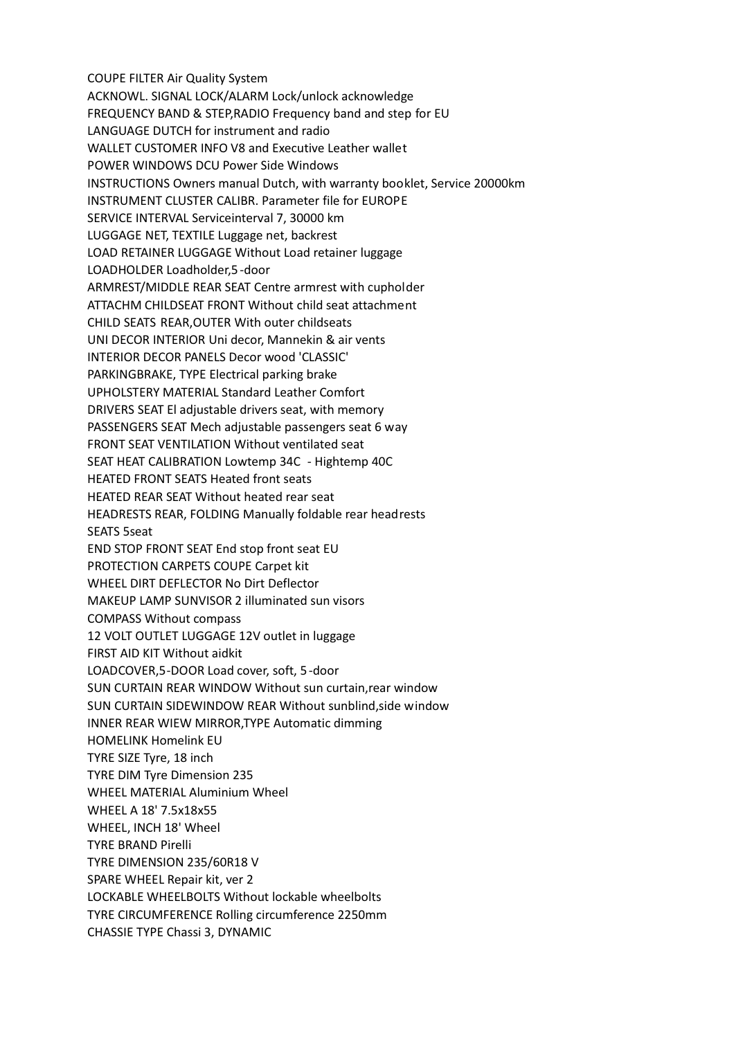COUPE FILTER Air Quality System ACKNOWL. SIGNAL LOCK/ALARM Lock/unlock acknowledge FREQUENCY BAND & STEP,RADIO Frequency band and step for EU LANGUAGE DUTCH for instrument and radio WALLET CUSTOMER INFO V8 and Executive Leather wallet POWER WINDOWS DCU Power Side Windows INSTRUCTIONS Owners manual Dutch, with warranty booklet, Service 20000km INSTRUMENT CLUSTER CALIBR. Parameter file for EUROPE SERVICE INTERVAL Serviceinterval 7, 30000 km LUGGAGE NET, TEXTILE Luggage net, backrest LOAD RETAINER LUGGAGE Without Load retainer luggage LOADHOLDER Loadholder,5-door ARMREST/MIDDLE REAR SEAT Centre armrest with cupholder ATTACHM CHILDSEAT FRONT Without child seat attachment CHILD SEATS REAR,OUTER With outer childseats UNI DECOR INTERIOR Uni decor, Mannekin & air vents INTERIOR DECOR PANELS Decor wood 'CLASSIC' PARKINGBRAKE, TYPE Electrical parking brake UPHOLSTERY MATERIAL Standard Leather Comfort DRIVERS SEAT El adjustable drivers seat, with memory PASSENGERS SEAT Mech adjustable passengers seat 6 way FRONT SEAT VENTILATION Without ventilated seat SEAT HEAT CALIBRATION Lowtemp 34C - Hightemp 40C HEATED FRONT SEATS Heated front seats HEATED REAR SEAT Without heated rear seat HEADRESTS REAR, FOLDING Manually foldable rear headrests SEATS 5seat END STOP FRONT SEAT End stop front seat EU PROTECTION CARPETS COUPE Carpet kit WHEEL DIRT DEFLECTOR No Dirt Deflector MAKEUP LAMP SUNVISOR 2 illuminated sun visors COMPASS Without compass 12 VOLT OUTLET LUGGAGE 12V outlet in luggage FIRST AID KIT Without aidkit LOADCOVER,5-DOOR Load cover, soft, 5-door SUN CURTAIN REAR WINDOW Without sun curtain,rear window SUN CURTAIN SIDEWINDOW REAR Without sunblind,side window INNER REAR WIEW MIRROR,TYPE Automatic dimming HOMELINK Homelink EU TYRE SIZE Tyre, 18 inch TYRE DIM Tyre Dimension 235 WHEEL MATERIAL Aluminium Wheel WHEEL A 18' 7.5x18x55 WHEEL, INCH 18' Wheel TYRE BRAND Pirelli TYRE DIMENSION 235/60R18 V SPARE WHEEL Repair kit, ver 2 LOCKABLE WHEELBOLTS Without lockable wheelbolts TYRE CIRCUMFERENCE Rolling circumference 2250mm CHASSIE TYPE Chassi 3, DYNAMIC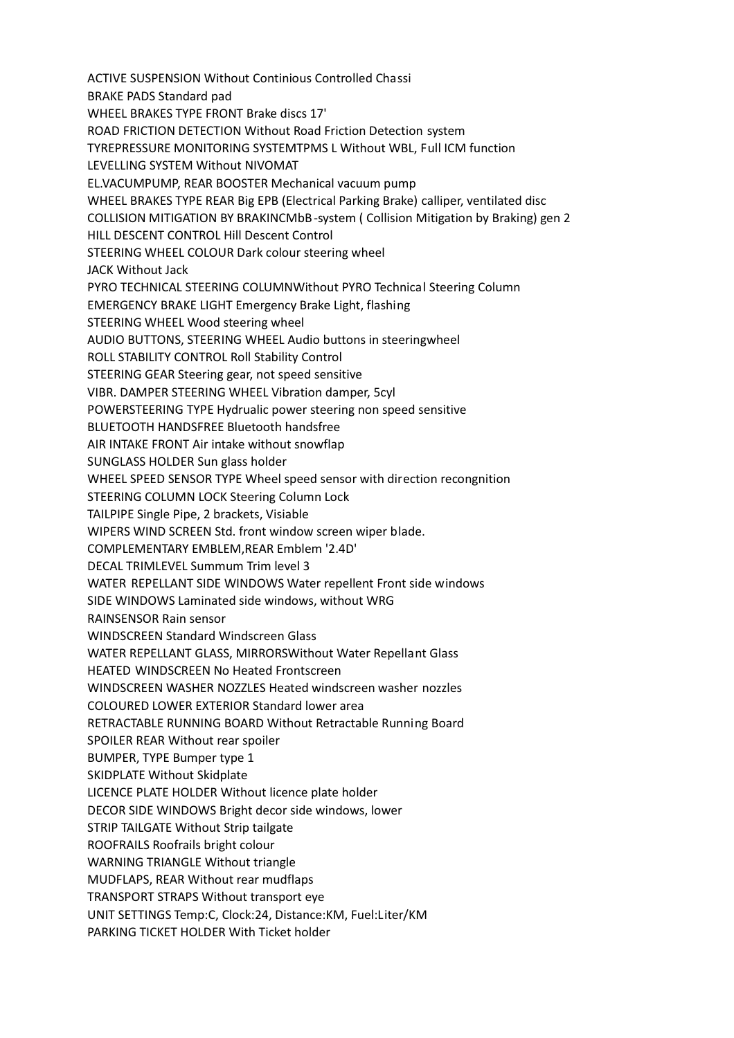ACTIVE SUSPENSION Without Continious Controlled Chassi BRAKE PADS Standard pad WHEEL BRAKES TYPE FRONT Brake discs 17' ROAD FRICTION DETECTION Without Road Friction Detection system TYREPRESSURE MONITORING SYSTEMTPMS L Without WBL, Full ICM function LEVELLING SYSTEM Without NIVOMAT EL.VACUMPUMP, REAR BOOSTER Mechanical vacuum pump WHEEL BRAKES TYPE REAR Big EPB (Electrical Parking Brake) calliper, ventilated disc COLLISION MITIGATION BY BRAKINCMbB-system ( Collision Mitigation by Braking) gen 2 HILL DESCENT CONTROL Hill Descent Control STEERING WHEEL COLOUR Dark colour steering wheel JACK Without Jack PYRO TECHNICAL STEERING COLUMNWithout PYRO Technical Steering Column EMERGENCY BRAKE LIGHT Emergency Brake Light, flashing STEERING WHEEL Wood steering wheel AUDIO BUTTONS, STEERING WHEEL Audio buttons in steeringwheel ROLL STABILITY CONTROL Roll Stability Control STEERING GEAR Steering gear, not speed sensitive VIBR. DAMPER STEERING WHEEL Vibration damper, 5cyl POWERSTEERING TYPE Hydrualic power steering non speed sensitive BLUETOOTH HANDSFREE Bluetooth handsfree AIR INTAKE FRONT Air intake without snowflap SUNGLASS HOLDER Sun glass holder WHEEL SPEED SENSOR TYPE Wheel speed sensor with direction recongnition STEERING COLUMN LOCK Steering Column Lock TAILPIPE Single Pipe, 2 brackets, Visiable WIPERS WIND SCREEN Std. front window screen wiper blade. COMPLEMENTARY EMBLEM,REAR Emblem '2.4D' DECAL TRIMLEVEL Summum Trim level 3 WATER REPELLANT SIDE WINDOWS Water repellent Front side windows SIDE WINDOWS Laminated side windows, without WRG RAINSENSOR Rain sensor WINDSCREEN Standard Windscreen Glass WATER REPELLANT GLASS, MIRRORSWithout Water Repellant Glass HEATED WINDSCREEN No Heated Frontscreen WINDSCREEN WASHER NOZZLES Heated windscreen washer nozzles COLOURED LOWER EXTERIOR Standard lower area RETRACTABLE RUNNING BOARD Without Retractable Running Board SPOILER REAR Without rear spoiler BUMPER, TYPE Bumper type 1 SKIDPLATE Without Skidplate LICENCE PLATE HOLDER Without licence plate holder DECOR SIDE WINDOWS Bright decor side windows, lower STRIP TAILGATE Without Strip tailgate ROOFRAILS Roofrails bright colour WARNING TRIANGLE Without triangle MUDFLAPS, REAR Without rear mudflaps TRANSPORT STRAPS Without transport eye UNIT SETTINGS Temp:C, Clock:24, Distance:KM, Fuel:Liter/KM PARKING TICKET HOLDER With Ticket holder